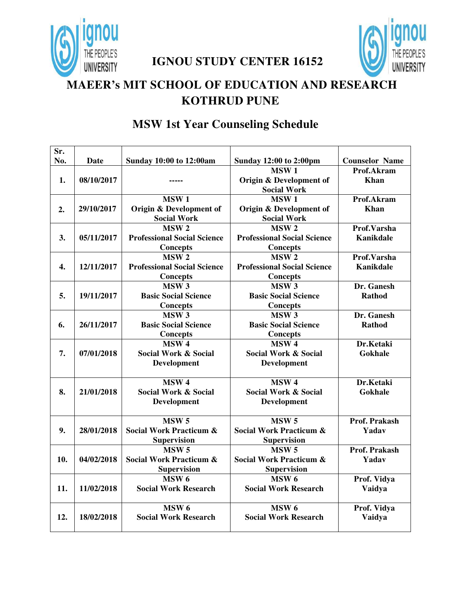

**IGNOU STUDY CENTER 16152** 



## **MAEER's MIT SCHOOL OF EDUCATION AND RESEARCH KOTHRUD PUNE**

| Sr. |            |                                    |                                    |                       |
|-----|------------|------------------------------------|------------------------------------|-----------------------|
| No. | Date       | <b>Sunday 10:00 to 12:00am</b>     | <b>Sunday 12:00 to 2:00pm</b>      | <b>Counselor Name</b> |
|     |            |                                    | MSW <sub>1</sub>                   | Prof.Akram            |
| 1.  | 08/10/2017 | -----                              | Origin & Development of            | Khan                  |
|     |            |                                    | <b>Social Work</b>                 |                       |
|     |            | MSW <sub>1</sub>                   | MSW <sub>1</sub>                   | Prof.Akram            |
| 2.  | 29/10/2017 | Origin & Development of            | Origin & Development of            | <b>Khan</b>           |
|     |            | <b>Social Work</b>                 | <b>Social Work</b>                 |                       |
|     |            | MSW <sub>2</sub>                   | MSW <sub>2</sub>                   | Prof.Varsha           |
| 3.  | 05/11/2017 | <b>Professional Social Science</b> | <b>Professional Social Science</b> | <b>Kanikdale</b>      |
|     |            | <b>Concepts</b>                    | <b>Concepts</b>                    |                       |
|     |            | MSW <sub>2</sub>                   | MSW <sub>2</sub>                   | Prof.Varsha           |
| 4.  | 12/11/2017 | <b>Professional Social Science</b> | <b>Professional Social Science</b> | <b>Kanikdale</b>      |
|     |            | <b>Concepts</b>                    | <b>Concepts</b>                    |                       |
|     |            | MSW <sub>3</sub>                   | MSW <sub>3</sub>                   | Dr. Ganesh            |
| 5.  | 19/11/2017 | <b>Basic Social Science</b>        | <b>Basic Social Science</b>        | <b>Rathod</b>         |
|     |            | Concepts                           | <b>Concepts</b>                    |                       |
|     |            | MSW <sub>3</sub>                   | MSW <sub>3</sub>                   | Dr. Ganesh            |
| 6.  | 26/11/2017 | <b>Basic Social Science</b>        | <b>Basic Social Science</b>        | <b>Rathod</b>         |
|     |            | <b>Concepts</b>                    | <b>Concepts</b>                    |                       |
|     |            | MSW <sub>4</sub>                   | MSW <sub>4</sub>                   | Dr.Ketaki             |
| 7.  | 07/01/2018 | <b>Social Work &amp; Social</b>    | <b>Social Work &amp; Social</b>    | Gokhale               |
|     |            | Development                        | Development                        |                       |
|     |            | MSW <sub>4</sub>                   | MSW <sub>4</sub>                   | Dr.Ketaki             |
| 8.  | 21/01/2018 | <b>Social Work &amp; Social</b>    | <b>Social Work &amp; Social</b>    | Gokhale               |
|     |            | <b>Development</b>                 | Development                        |                       |
|     |            |                                    |                                    |                       |
|     |            | MSW <sub>5</sub>                   | MSW <sub>5</sub>                   | Prof. Prakash         |
| 9.  | 28/01/2018 | <b>Social Work Practicum &amp;</b> | <b>Social Work Practicum &amp;</b> | Yadav                 |
|     |            | <b>Supervision</b>                 | <b>Supervision</b>                 |                       |
|     |            | MSW <sub>5</sub>                   | MSW <sub>5</sub>                   | Prof. Prakash         |
| 10. | 04/02/2018 | <b>Social Work Practicum &amp;</b> | <b>Social Work Practicum &amp;</b> | Yadav                 |
|     |            | <b>Supervision</b>                 | <b>Supervision</b>                 |                       |
|     |            | MSW <sub>6</sub>                   | MSW <sub>6</sub>                   | Prof. Vidya           |
| 11. | 11/02/2018 | <b>Social Work Research</b>        | <b>Social Work Research</b>        | Vaidya                |
|     |            |                                    |                                    |                       |
|     |            | MSW <sub>6</sub>                   | MSW <sub>6</sub>                   | Prof. Vidya           |
| 12. | 18/02/2018 | <b>Social Work Research</b>        | <b>Social Work Research</b>        | Vaidya                |
|     |            |                                    |                                    |                       |

### **MSW 1st Year Counseling Schedule**